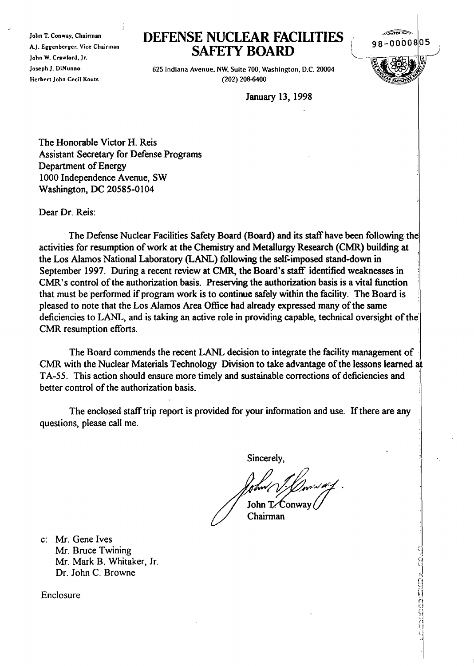10hn T. Conway, Chairman AJ. Eggenberger, Vice Chairman John W. Crawlord, Jr. Joseph J. DiNunno Herbert John Cecil Kouts

## **DEFENSE NUCLEAR FACILITIES SAFElY BOARD**



**Carlo Amazonia como e un carlo 200** 

625 Indiana Avenue. NW. Suite 700, Washington, D.C. 20004 (202) 208-6400

January 13, 1998

The Honorable Victor H. Reis Assistant Secretary for Defense Programs Department of Energy 1000 Independence Avenue, SW Washington, DC 20585-0104

Dear Dr. Reis:

The Defense Nuclear Facilities Safety Board (Board) and its staff have been following the activities for resumption of work at the Chemistry and Metallurgy Research (CMR) building at the Los Alamos National Laboratory (LANL) following the self-imposed stand-down in September 1997. During a recent review at CMR, the Board's staff identified weaknesses in CMR's control of the authorization basis. Preserving the authorization basis is a vital function that must be performed if program work is to continue safely within the facility. The Board is pleased to note that the Los Alamos Area Office had already expressed many of the same deficiencies to LANL, and is taking an active role in providing capable, technical oversight of the CMR resumption efforts.

The Board commends the recent LANL decision to integrate the facility management of CMR with the Nuclear Materials Technology Division to take advantage of the lessons learned at TA-55. This action should ensure more timely and sustainable corrections of deficiencies and ' better control of the authorization basis.

The enclosed staff trip report is provided for your information and use. If there are any questions, please call me.

Sincerely,

John T. Conway

Chairman

c: Mr. Gene Ives Mr. Bruce Twining Mr. Mark B. Whitaker, Jr. Dr. John C. Browne

Enclosure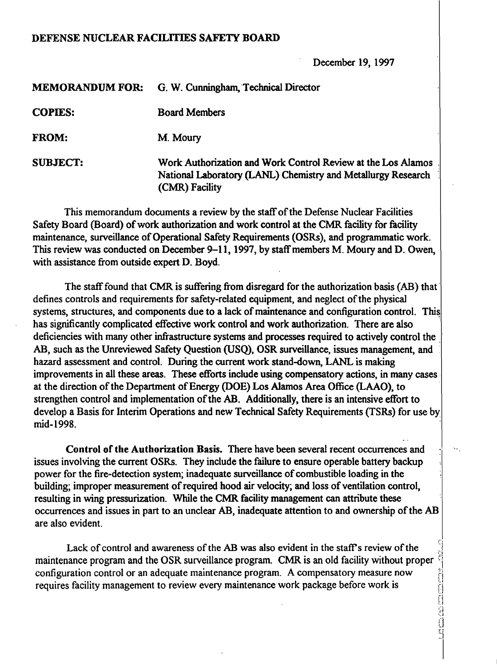## DEFENSE NUCLEAR FACILITIES SAFETY BOARD

December 19, 1997

| <b>MEMORANDUM FOR:</b> | G. W. Cunningham, Technical Director                                                                                                           |
|------------------------|------------------------------------------------------------------------------------------------------------------------------------------------|
| <b>COPIES:</b>         | <b>Board Members</b>                                                                                                                           |
| <b>FROM:</b>           | M. Moury                                                                                                                                       |
| <b>SUBJECT:</b>        | Work Authorization and Work Control Review at the Los Alamos<br>National Laboratory (LANL) Chemistry and Metallurgy Research<br>(CMR) Facility |

This memorandum documents a review by the staff of the Defense Nuclear Facilities Safety Board (Board) of work authorization and work control at the CMR facility for facility maintenance, surveillance of Operational Safety Requirements (OSRs), and programmatic work. This review was conducted on December 9-11, 1997, by staff members M. Moury and D. Owen, with assistance from outside expert D. Boyd.

The staff found that CMR is suffering from disregard for the authorization basis (AB) that defines controls and requirements for safety-related equipment, and neglect of the physical systems, structures, and components due to a lack of maintenance and configuration control. This has significantly complicated effective work control and work authorization. There are also deficiencies with many other infrastructure systems and processes required to actively control the AB, such as the Unreviewed Safety Question (USQ), OSR surveillance, issues management, and hazard assessment and control. During the current work stand-down, LANL is making improvements in all these areas. These efforts include using compensatory actions, in many cases at the direction of the Department of Energy (DOE) Los Alamos Area Office (LAAO), to strengthen control and implementation of the AB. Additionally, there is an intensive effort to develop a Basis for Interim Operations and new Technical Safety Requirements (TSRs) for use by mid-1998.

Control of the Authorization Basis. There have been several recent occurrences and issues involving the current OSRs. They include the failure to ensure operable battery backup power for the fire-detection system; inadequate surveillance of combustible loading in the building; improper measurement of required hood air velocity; and loss of ventilation control, resulting in wing pressurization. While the CMR facility management can attribute these occurrences and issues in part to an unclear AB, inadequate attention to and ownership of the AB are also evident.

Lack of control and awareness of the AB was also evident in the staff's review of the maintenance program and the OSR surveillance program. CMR is an old facility without proper configuration control or an adequate maintenance program. A compensatory measure now<br>requires facility management to review every maintenance work package before work is requires facility management to review every maintenance work package before work is